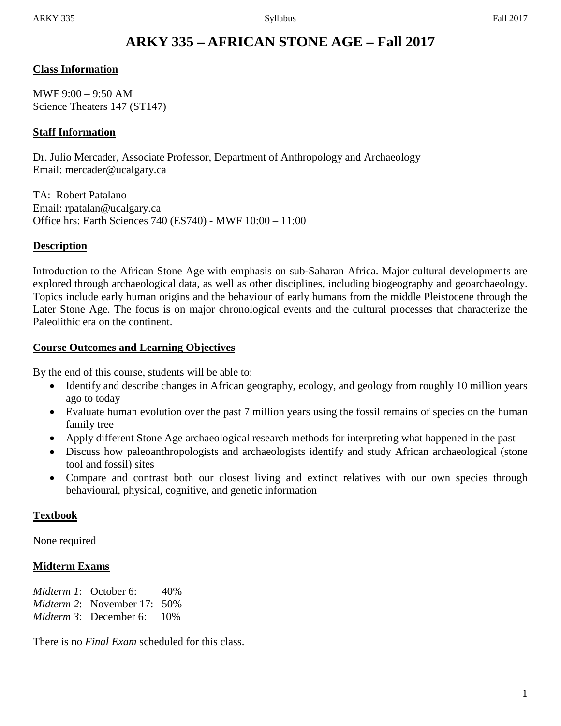# **ARKY 335 – AFRICAN STONE AGE – Fall 2017**

## **Class Information**

MWF 9:00 – 9:50 AM Science Theaters 147 (ST147)

## **Staff Information**

Dr. Julio Mercader, Associate Professor, Department of Anthropology and Archaeology Email: mercader@ucalgary.ca

TA: Robert Patalano Email: rpatalan@ucalgary.ca Office hrs: Earth Sciences 740 (ES740) - MWF 10:00 – 11:00

## **Description**

Introduction to the African Stone Age with emphasis on sub-Saharan Africa. Major cultural developments are explored through archaeological data, as well as other disciplines, including biogeography and geoarchaeology. Topics include early human origins and the behaviour of early humans from the middle Pleistocene through the Later Stone Age. The focus is on major chronological events and the cultural processes that characterize the Paleolithic era on the continent.

## **Course Outcomes and Learning Objectives**

By the end of this course, students will be able to:

- Identify and describe changes in African geography, ecology, and geology from roughly 10 million years ago to today
- Evaluate human evolution over the past 7 million years using the fossil remains of species on the human family tree
- Apply different Stone Age archaeological research methods for interpreting what happened in the past
- Discuss how paleoanthropologists and archaeologists identify and study African archaeological (stone tool and fossil) sites
- Compare and contrast both our closest living and extinct relatives with our own species through behavioural, physical, cognitive, and genetic information

## **Textbook**

None required

## **Midterm Exams**

*Midterm 1*: October 6: 40% *Midterm 2*: November 17: 50% *Midterm 3*: December 6: 10%

There is no *Final Exam* scheduled for this class.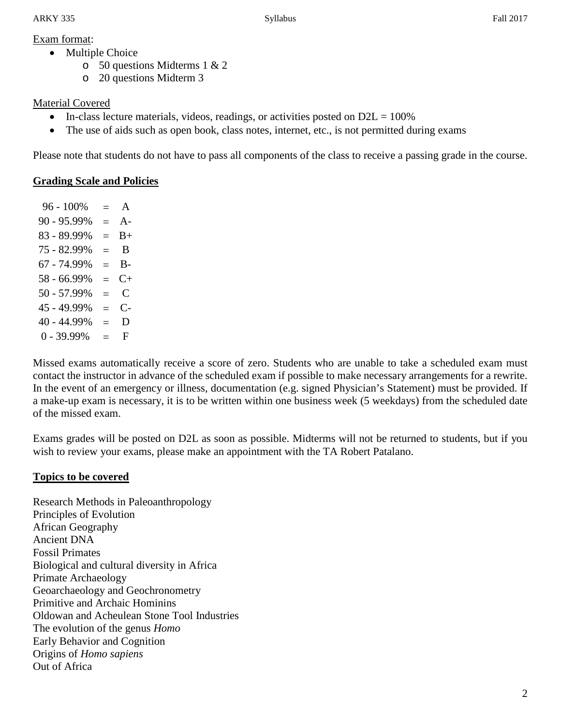## Exam format:

- Multiple Choice
	- o 50 questions Midterms 1 & 2
	- o 20 questions Midterm 3

## Material Covered

- In-class lecture materials, videos, readings, or activities posted on  $D2L = 100\%$
- The use of aids such as open book, class notes, internet, etc., is not permitted during exams

Please note that students do not have to pass all components of the class to receive a passing grade in the course.

## **Grading Scale and Policies**

 $96 - 100\% = A$  $90 - 95.99\% = A$  $83 - 89.99\% = B +$  $75 - 82.99\% = B$  $67 - 74.99\% = B$  $58 - 66.99\% = C +$  $50 - 57.99\% = C$  $45 - 49.99\% = C$  $40 - 44.99\% = D$  $0 - 39.99\% = F$ 

Missed exams automatically receive a score of zero. Students who are unable to take a scheduled exam must contact the instructor in advance of the scheduled exam if possible to make necessary arrangements for a rewrite. In the event of an emergency or illness, documentation (e.g. signed Physician's Statement) must be provided. If a make-up exam is necessary, it is to be written within one business week (5 weekdays) from the scheduled date of the missed exam.

Exams grades will be posted on D2L as soon as possible. Midterms will not be returned to students, but if you wish to review your exams, please make an appointment with the TA Robert Patalano.

## **Topics to be covered**

Research Methods in Paleoanthropology Principles of Evolution African Geography Ancient DNA Fossil Primates Biological and cultural diversity in Africa Primate Archaeology Geoarchaeology and Geochronometry Primitive and Archaic Hominins Oldowan and Acheulean Stone Tool Industries The evolution of the genus *Homo* Early Behavior and Cognition Origins of *Homo sapiens* Out of Africa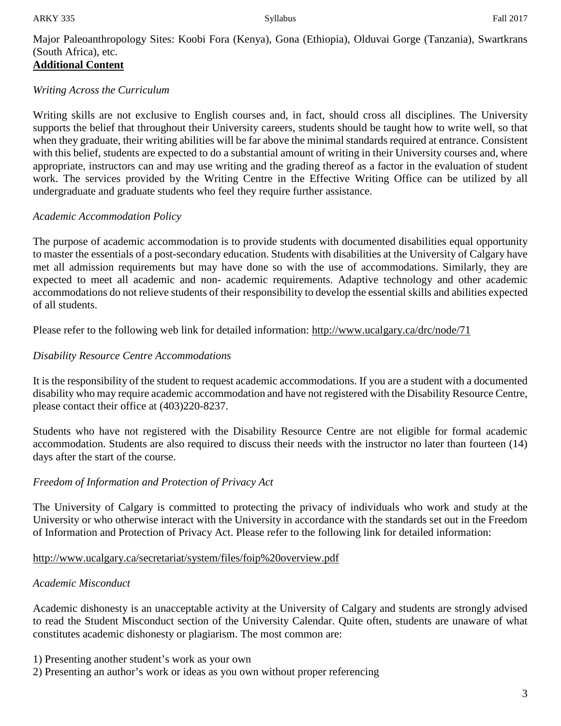Major Paleoanthropology Sites: Koobi Fora (Kenya), Gona (Ethiopia), Olduvai Gorge (Tanzania), Swartkrans (South Africa), etc. **Additional Content**

## *Writing Across the Curriculum*

Writing skills are not exclusive to English courses and, in fact, should cross all disciplines. The University supports the belief that throughout their University careers, students should be taught how to write well, so that when they graduate, their writing abilities will be far above the minimal standards required at entrance. Consistent with this belief, students are expected to do a substantial amount of writing in their University courses and, where appropriate, instructors can and may use writing and the grading thereof as a factor in the evaluation of student work. The services provided by the Writing Centre in the Effective Writing Office can be utilized by all undergraduate and graduate students who feel they require further assistance.

## *Academic Accommodation Policy*

The purpose of academic accommodation is to provide students with documented disabilities equal opportunity to master the essentials of a post-secondary education. Students with disabilities at the University of Calgary have met all admission requirements but may have done so with the use of accommodations. Similarly, they are expected to meet all academic and non- academic requirements. Adaptive technology and other academic accommodations do not relieve students of their responsibility to develop the essential skills and abilities expected of all students.

Please refer to the following web link for detailed information: http://www.ucalgary.ca/drc/node/71

## *Disability Resource Centre Accommodations*

It is the responsibility of the student to request academic accommodations. If you are a student with a documented disability who may require academic accommodation and have not registered with the Disability Resource Centre, please contact their office at (403)220-8237.

Students who have not registered with the Disability Resource Centre are not eligible for formal academic accommodation. Students are also required to discuss their needs with the instructor no later than fourteen (14) days after the start of the course.

## *Freedom of Information and Protection of Privacy Act*

The University of Calgary is committed to protecting the privacy of individuals who work and study at the University or who otherwise interact with the University in accordance with the standards set out in the Freedom of Information and Protection of Privacy Act. Please refer to the following link for detailed information:

## http://www.ucalgary.ca/secretariat/system/files/foip%20overview.pdf

## *Academic Misconduct*

Academic dishonesty is an unacceptable activity at the University of Calgary and students are strongly advised to read the Student Misconduct section of the University Calendar. Quite often, students are unaware of what constitutes academic dishonesty or plagiarism. The most common are:

1) Presenting another student's work as your own

2) Presenting an author's work or ideas as you own without proper referencing